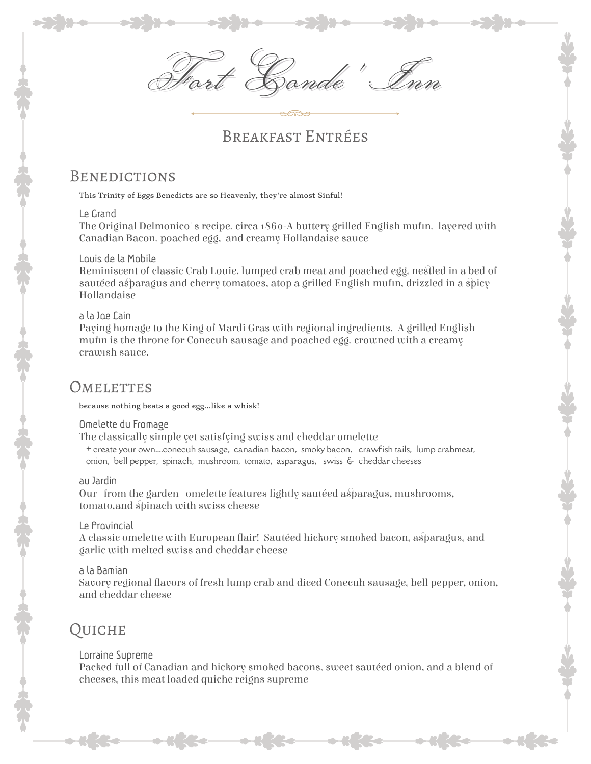Fort Conde' Inn

# Breakfast Entrées

# **BENEDICTIONS**

This Trinity of Eggs Benedicts are so Heavenly, they're almost Sinful!

### Le Grand

The Original Delmonico's recipe, circa 1860-A buttery grilled English mufin, layered with Canadian Bacon, poached egg, and creamy Hollandaise sauce

### Louis de la Mobile

Reminiscent of classic Crab Louie. lumped crab meat and poached egg, nestled in a bed of sautéed asparagus and cherry tomatoes, atop a grilled English mufin, drizzled in a spicy Hollandaise

### a la Joe Cain

Paying homage to the King of Mardi Gras with regional ingredients. A grilled English muffin is the throne for Conecuh sausage and poached egg, crowned with a creamy crawish sauce.

### **OMELETTES**

because nothing beats a good egg...like a whisk!

#### Omelette du Fromage

The classically simple yet satisfying swiss and cheddar omelette

+ create your own....conecuh sausage, canadian bacon, smoky bacon, crawfish tails, lump crabmeat, onion, bell pepper, spinach, mushroom, tomato, asparagus, swiss & cheddar cheeses

#### au Jardin

Our "from the garden" omelette features lightly sautéed asparagus, mushrooms, tomato,and spinach with swiss cheese

### Le Provincial

A classic omelette with European flair! Sautéed hickory smoked bacon, asparagus, and garlic with melted swiss and cheddar cheese

#### a la Bamian

Savory regional flavors of fresh lump crab and diced Conecuh sausage, bell pepper, onion, and cheddar cheese

# Quiche

### Lorraine Supreme

Packed full of Canadian and hickory smoked bacons, sweet sautéed onion, and a blend of cheeses, this meat loaded quiche reigns supreme